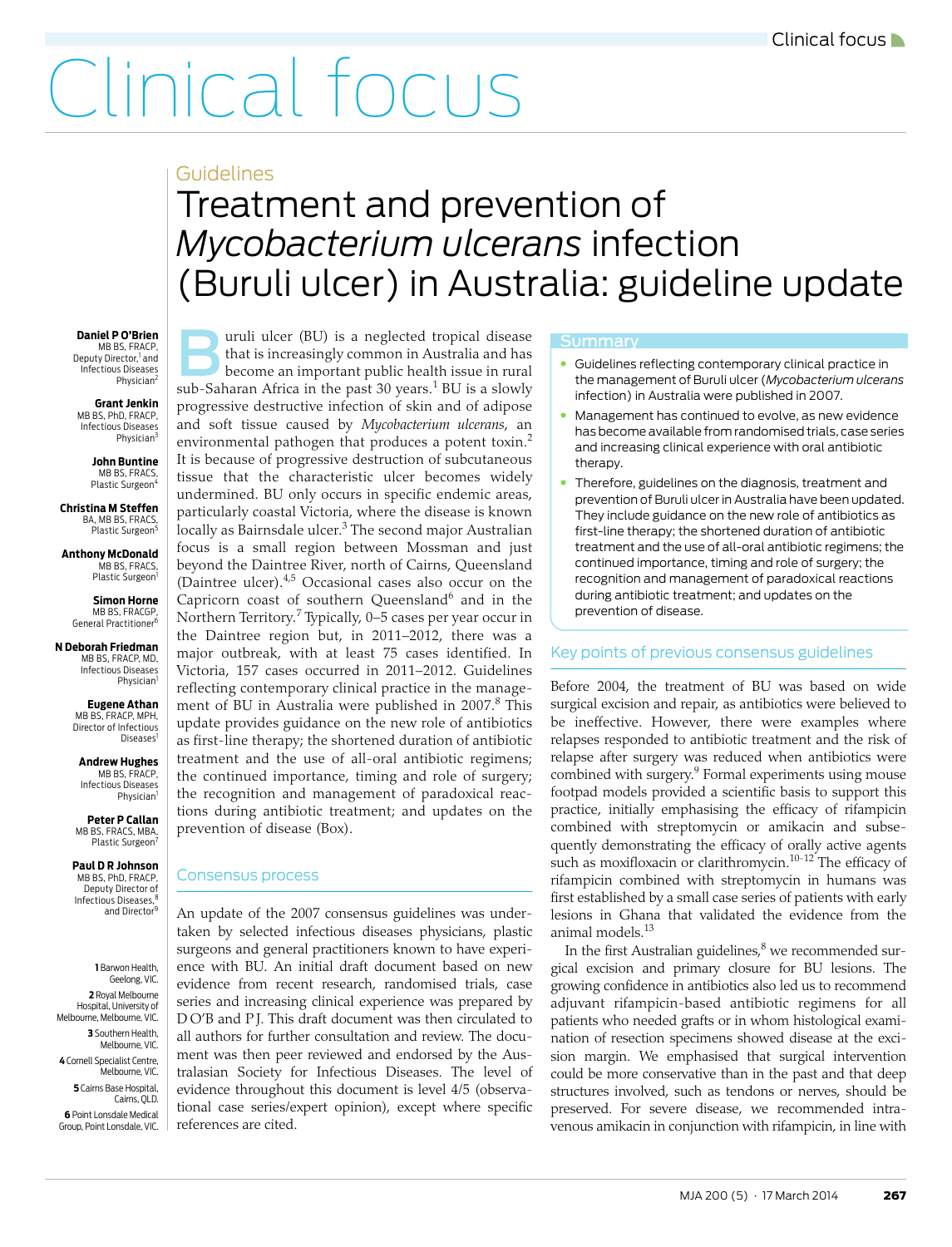# Clinical focus

### Guidelines

## <span id="page-0-0"></span>Treatment and prevention of *Mycobacterium ulcerans* infection (Buruli ulcer) in Australia: guideline update

**Daniel P O'Brien** MB BS, FRACP Deputy Director,<sup>1</sup> and Infectious Diseases Physician<sup>2</sup>

**Grant Jenkin** MB BS, PhD, FRACP, Infectious Diseases Physician

**John Buntine** MB BS, FRACS, Plastic Surgeon<sup>4</sup>

**Christina M Steffen** BA, MB BS, FRACS, Plastic Surgeon<sup>5</sup>

**Anthony McDonald MB BS, FRACS** Plastic Surgeon<sup>1</sup>

> **Simon Horne** MB BS, FRACGP, General Practitioner<sup>6</sup>

**N Deborah Friedman** MB BS, FRACP, MD, Infectious Diseases Physician

> **Eugene Athan** MB BS, FRACP, MPH, Director of Infectious Diseases<sup>1</sup>

**Andrew Hughes** MB BS, FRACP, Infectious Diseases Physician<sup>1</sup>

**Peter P Callan** MB BS, FRACS, MBA Plastic Surgeon<sup>7</sup>

**Paul D R Johnson** MB BS, PhD, FRACP,

Deputy Director of Infectious Diseases,<sup>8</sup> and Director<sup>9</sup>

Melbourne, VIC.  $\Big|\begin{array}{c}\text{and} \\ \text{and} \end{array}$ **4** Cornell Specialist Centre, **A Little Was** Cornell Specialist Centre, **A 1** Barwon Health, Geelong, VIC. **2** Royal Melbourne Hospital, University of Melbourne, Melbourne, VIC. **3** Southern Health, Melbourne, VIC. **5** Cairns Base Hospital, Cairns, QLD. **6** Point Lonsdale Medical Group, Point Lonsdale, VIC.

uruli ulcer (BU) is a neglected tropical disease that is increasingly common in Australia and has become an important public health issue in rural suruli ulcer (BU) is a neglected tropical disease<br>that is increasingly common in Australia and has<br>become an important public health issue in rural<br>sub-Saharan Africa in the past 30 years.<sup>[1](#page-3-0)</sup> BU is a slowly progressive destructive infection of skin and of adipose and soft tissue caused by *Mycobacterium ulcerans*, an environmental pathogen that produces a potent toxin.<sup>[2](#page-3-1)</sup> It is because of progressive destruction of subcutaneous tissue that the characteristic ulcer becomes widely undermined. BU only occurs in specific endemic areas, particularly coastal Victoria, where the disease is known locally as Bairnsdale ulcer.<sup>[3](#page-3-2)</sup> The second major Australian focus is a small region between Mossman and just beyond the Daintree River, north of Cairns, Queensland (Daintree ulcer).[4](#page-3-3)[,5](#page-3-4) Occasional cases also occur on the Capricorn coast of southern Queensland $6$  and in the Northern Territory.<sup>[7](#page-3-6)</sup> Typically, 0–5 cases per year occur in the Daintree region but, in 2011–2012, there was a major outbreak, with at least 75 cases identified. In Victoria, 157 cases occurred in 2011–2012. Guidelines reflecting contemporary clinical practice in the manage-ment of BU in Australia were published in 2007.<sup>[8](#page-3-7)</sup> This update provides guidance on the new role of antibiotics as first-line therapy; the shortened duration of antibiotic treatment and the use of all-oral antibiotic regimens; the continued importance, timing and role of surgery; the recognition and management of paradoxical reactions during antibiotic treatment; and updates on the prevention of disease (Box).

#### Consensus process

Royal Melbourne | series and increasing clinical experience was prepared by  $F_{\text{R}}$ , Melbourne, VIC.  $\parallel$  D O'B and P J. This draft document was then circulated to Southern Health, all authors for further consultation and review. The docu-An update of the 2007 consensus guidelines was undertaken by selected infectious diseases physicians, plastic surgeons and general practitioners known to have experience with BU. An initial draft document based on new evidence from recent research, randomised trials, case ment was then peer reviewed and endorsed by the Australasian Society for Infectious Diseases. The level of evidence throughout this document is level 4/5 (observational case series/expert opinion), except where specific references are cited.

#### **Summary**

- Guidelines reflecting contemporary clinical practice in the management of Buruli ulcer (*Mycobacterium ulcerans* infection) in Australia were published in 2007.
- Management has continued to evolve, as new evidence has become available from randomised trials, case series and increasing clinical experience with oral antibiotic therapy.
- Therefore, guidelines on the diagnosis, treatment and prevention of Buruli ulcer in Australia have been updated. They include guidance on the new role of antibiotics as first-line therapy; the shortened duration of antibiotic treatment and the use of all-oral antibiotic regimens; the continued importance, timing and role of surgery; the recognition and management of paradoxical reactions during antibiotic treatment; and updates on the prevention of disease.

#### Key points of previous consensus guidelines

Before 2004, the treatment of BU was based on wide surgical excision and repair, as antibiotics were believed to be ineffective. However, there were examples where relapses responded to antibiotic treatment and the risk of relapse after surgery was reduced when antibiotics were combined with surgery.<sup>[9](#page-3-8)</sup> Formal experiments using mouse footpad models provided a scientific basis to support this practice, initially emphasising the efficacy of rifampicin combined with streptomycin or amikacin and subsequently demonstrating the efficacy of orally active agents such as moxifloxacin or clarithromycin.<sup>[10](#page-3-9)-[12](#page-3-10)</sup> The efficacy of rifampicin combined with streptomycin in humans was first established by a small case series of patients with early lesions in Ghana that validated the evidence from the animal models.[13](#page-3-11)

In the first Australian guidelines, $^8$  we recommended surgical excision and primary closure for BU lesions. The growing confidence in antibiotics also led us to recommend adjuvant rifampicin-based antibiotic regimens for all patients who needed grafts or in whom histological examination of resection specimens showed disease at the excision margin. We emphasised that surgical intervention could be more conservative than in the past and that deep structures involved, such as tendons or nerves, should be preserved. For severe disease, we recommended intravenous amikacin in conjunction with rifampicin, in line with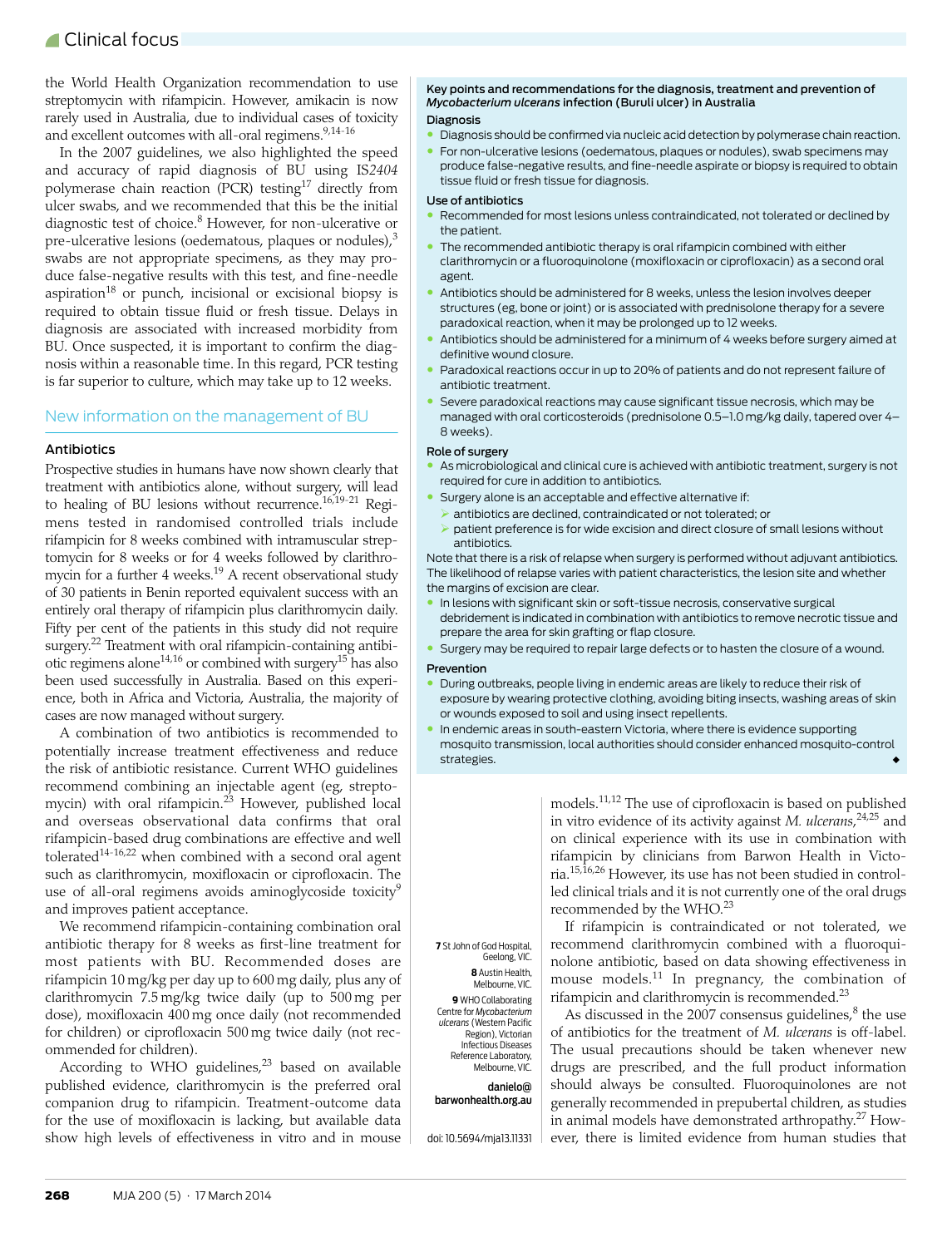the World Health Organization recommendation to use streptomycin with rifampicin. However, amikacin is now rarely used in Australia, due to individual cases of toxicity and excellent outcomes with all-oral regimens.  $9,14-16$  $9,14-16$  $9,14-16$  $9,14-16$ 

In the 2007 guidelines, we also highlighted the speed and accuracy of rapid diagnosis of BU using IS*2404* polymerase chain reaction (PCR) testing $17$  directly from ulcer swabs, and we recommended that this be the initial diagnostic test of choice.<sup>8</sup> However, for non-ulcerative or pre-ulcerative lesions (oedematous, plaques or nodules), $3$ swabs are not appropriate specimens, as they may produce false-negative results with this test, and fine-needle aspiration $18$  or punch, incisional or excisional biopsy is required to obtain tissue fluid or fresh tissue. Delays in diagnosis are associated with increased morbidity from BU. Once suspected, it is important to confirm the diagnosis within a reasonable time. In this regard, PCR testing is far superior to culture, which may take up to 12 weeks.

#### New information on the management of BU

#### Antibiotics

Prospective studies in humans have now shown clearly that treatment with antibiotics alone, without surgery, will lead to healing of BU lesions without recurrence.[16](#page-3-14)[,19-](#page-3-17)[21](#page-3-18) Regimens tested in randomised controlled trials include rifampicin for 8 weeks combined with intramuscular streptomycin for 8 weeks or for 4 weeks followed by clarithromycin for a further 4 weeks.<sup>19</sup> A recent observational study of 30 patients in Benin reported equivalent success with an entirely oral therapy of rifampicin plus clarithromycin daily. Fifty per cent of the patients in this study did not require surgery.<sup>22</sup> Treatment with oral rifampicin-containing antibi-otic regimens alone<sup>14[,16](#page-3-14)</sup> or combined with surgery<sup>15</sup> has also been used successfully in Australia. Based on this experience, both in Africa and Victoria, Australia, the majority of cases are now managed without surgery.

A combination of two antibiotics is recommended to potentially increase treatment effectiveness and reduce the risk of antibiotic resistance. Current WHO guidelines recommend combining an injectable agent (eg, strepto-mycin) with oral rifampicin.<sup>[23](#page-3-21)</sup> However, published local and overseas observational data confirms that oral rifampicin-based drug combinations are effective and well tolerated<sup>14[-16](#page-3-14),[22](#page-3-19)</sup> when combined with a second oral agent such as clarithromycin, moxifloxacin or ciprofloxacin. The use of all-oral regimens avoids aminoglycoside toxicity<sup>[9](#page-3-8)</sup> and improves patient acceptance.

We recommend rifampicin-containing combination oral antibiotic therapy for 8 weeks as first-line treatment for most patients with BU. Recommended doses are rifampicin 10 mg/kg per day up to 600 mg daily, plus any of clarithromycin 7.5 mg/kg twice daily (up to 500 mg per dose), moxifloxacin 400 mg once daily (not recommended for children) or ciprofloxacin 500 mg twice daily (not recommended for children).

According to WHO guidelines, $23$  based on available published evidence, clarithromycin is the preferred oral companion drug to rifampicin. Treatment-outcome data for the use of moxifloxacin is lacking, but available data show high levels of effectiveness in vitro and in mouse

Key points and recommendations for the diagnosis, treatment and prevention of *Mycobacterium ulcerans* infection (Buruli ulcer) in Australia

#### Diagnosis

- Diagnosis should be confirmed via nucleic acid detection by polymerase chain reaction.
- For non-ulcerative lesions (oedematous, plaques or nodules), swab specimens may produce false-negative results, and fine-needle aspirate or biopsy is required to obtain tissue fluid or fresh tissue for diagnosis.

#### Use of antibiotics

- Recommended for most lesions unless contraindicated, not tolerated or declined by the patient.
- The recommended antibiotic therapy is oral rifampicin combined with either clarithromycin or a fluoroquinolone (moxifloxacin or ciprofloxacin) as a second oral agent.
- Antibiotics should be administered for 8 weeks, unless the lesion involves deeper structures (eg, bone or joint) or is associated with prednisolone therapy for a severe paradoxical reaction, when it may be prolonged up to 12 weeks.
- Antibiotics should be administered for a minimum of 4 weeks before surgery aimed at definitive wound closure.
- Paradoxical reactions occur in up to 20% of patients and do not represent failure of antibiotic treatment.
- Severe paradoxical reactions may cause significant tissue necrosis, which may be managed with oral corticosteroids (prednisolone 0.5–1.0 mg/kg daily, tapered over 4– 8 weeks).

#### Role of surgery

- As microbiological and clinical cure is achieved with antibiotic treatment, surgery is not required for cure in addition to antibiotics.
- Surgery alone is an acceptable and effective alternative if:
- antibiotics are declined, contraindicated or not tolerated; or
- $\triangleright$  patient preference is for wide excision and direct closure of small lesions without antibiotics.

Note that there is a risk of relapse when surgery is performed without adjuvant antibiotics. The likelihood of relapse varies with patient characteristics, the lesion site and whether the margins of excision are clear.

- In lesions with significant skin or soft-tissue necrosis, conservative surgical debridement is indicated in combination with antibiotics to remove necrotic tissue and prepare the area for skin grafting or flap closure.
- Surgery may be required to repair large defects or to hasten the closure of a wound.

#### Prevention

- During outbreaks, people living in endemic areas are likely to reduce their risk of exposure by wearing protective clothing, avoiding biting insects, washing areas of skin or wounds exposed to soil and using insect repellents.
- In endemic areas in south-eastern Victoria, where there is evidence supporting mosquito transmission, local authorities should consider enhanced mosquito-control strategies.

models.[11,](#page-3-22)[12](#page-3-10) The use of ciprofloxacin is based on published in vitro evidence of its activity against *M. ulcerans*, [24](#page-3-23),[25](#page-3-24) and on clinical experience with its use in combination with rifampicin by clinicians from Barwon Health in Victoria[.15](#page-3-20)[,16,](#page-3-14)[26](#page-3-25) However, its use has not been studied in controlled clinical trials and it is not currently one of the oral drugs recommended by the WHO.[23](#page-3-21)

If rifampicin is contraindicated or not tolerated, we recommend clarithromycin combined with a fluoroquinolone antibiotic, based on data showing effectiveness in mouse models.[11](#page-3-22) In pregnancy, the combination of rifampicin and clarithromycin is recommended.[23](#page-3-21)

As discussed in the 2007 consensus guidelines, $8$  the use of antibiotics for the treatment of *M. ulcerans* is off-label. The usual precautions should be taken whenever new drugs are prescribed, and the full product information should always be consulted. Fluoroquinolones are not generally recommended in prepubertal children, as studies in animal models have demonstrated arthropathy.[27](#page-3-26) However, there is limited evidence from human studies that

**7** St John of God Hospital, Geelong, VIC. **8** Austin Health,

Melbourne, VIC. **9** WHO Collaborating Centre for *Mycobacterium ulcerans* (Western Pacific Region), Victorian Infectious Diseases Reference Laboratory, Melbourne, VIC.

danielo@ barwonhealth.org.au

doi: 10.5694/mja13.11331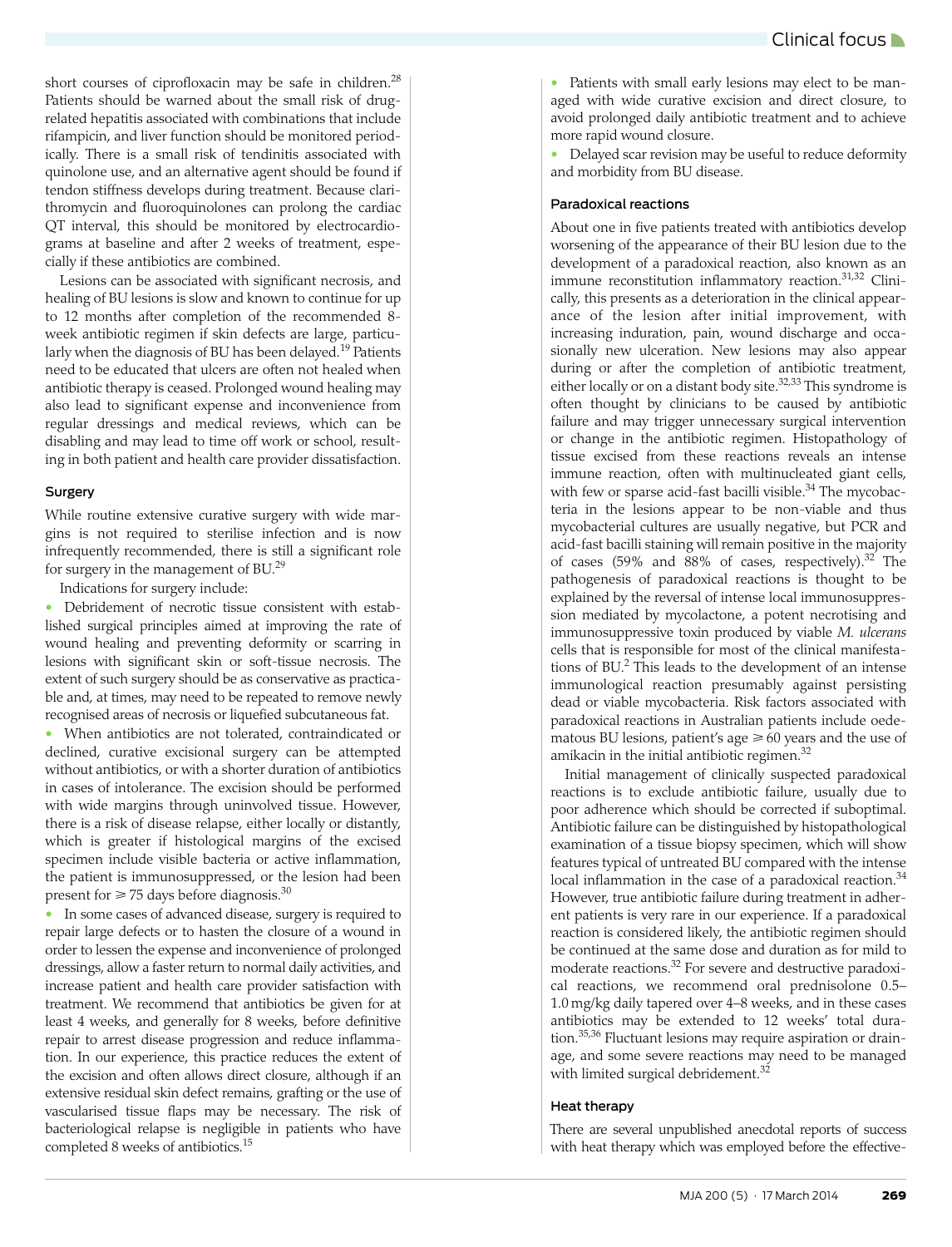short courses of ciprofloxacin may be safe in children.<sup>[28](#page-3-27)</sup> Patients should be warned about the small risk of drugrelated hepatitis associated with combinations that include rifampicin, and liver function should be monitored periodically. There is a small risk of tendinitis associated with quinolone use, and an alternative agent should be found if tendon stiffness develops during treatment. Because clarithromycin and fluoroquinolones can prolong the cardiac QT interval, this should be monitored by electrocardiograms at baseline and after 2 weeks of treatment, especially if these antibiotics are combined.

Lesions can be associated with significant necrosis, and healing of BU lesions is slow and known to continue for up to 12 months after completion of the recommended 8 week antibiotic regimen if skin defects are large, particu-larly when the diagnosis of BU has been delayed.<sup>[19](#page-3-17)</sup> Patients need to be educated that ulcers are often not healed when antibiotic therapy is ceased. Prolonged wound healing may also lead to significant expense and inconvenience from regular dressings and medical reviews, which can be disabling and may lead to time off work or school, resulting in both patient and health care provider dissatisfaction.

#### Surgery

While routine extensive curative surgery with wide margins is not required to sterilise infection and is now infrequently recommended, there is still a significant role for surgery in the management of BU.[29](#page-3-28)

Indications for surgery include:

• Debridement of necrotic tissue consistent with established surgical principles aimed at improving the rate of wound healing and preventing deformity or scarring in lesions with significant skin or soft-tissue necrosis. The extent of such surgery should be as conservative as practicable and, at times, may need to be repeated to remove newly recognised areas of necrosis or liquefied subcutaneous fat.

• When antibiotics are not tolerated, contraindicated or declined, curative excisional surgery can be attempted without antibiotics, or with a shorter duration of antibiotics in cases of intolerance. The excision should be performed with wide margins through uninvolved tissue. However, there is a risk of disease relapse, either locally or distantly, which is greater if histological margins of the excised specimen include visible bacteria or active inflammation, the patient is immunosuppressed, or the lesion had been present for  $\geqslant$  75 days before diagnosis. $^{30}$  $^{30}$  $^{30}$ 

• In some cases of advanced disease, surgery is required to repair large defects or to hasten the closure of a wound in order to lessen the expense and inconvenience of prolonged dressings, allow a faster return to normal daily activities, and increase patient and health care provider satisfaction with treatment. We recommend that antibiotics be given for at least 4 weeks, and generally for 8 weeks, before definitive repair to arrest disease progression and reduce inflammation. In our experience, this practice reduces the extent of the excision and often allows direct closure, although if an extensive residual skin defect remains, grafting or the use of vascularised tissue flaps may be necessary. The risk of bacteriological relapse is negligible in patients who have completed 8 weeks of antibiotics.[15](#page-3-20)

• Patients with small early lesions may elect to be managed with wide curative excision and direct closure, to avoid prolonged daily antibiotic treatment and to achieve more rapid wound closure.

• Delayed scar revision may be useful to reduce deformity and morbidity from BU disease.

#### Paradoxical reactions

About one in five patients treated with antibiotics develop worsening of the appearance of their BU lesion due to the development of a paradoxical reaction, also known as an immune reconstitution inflammatory reaction.<sup>31,32</sup> Clinically, this presents as a deterioration in the clinical appearance of the lesion after initial improvement, with increasing induration, pain, wound discharge and occasionally new ulceration. New lesions may also appear during or after the completion of antibiotic treatment, either locally or on a distant body site.<sup>[32](#page-3-31),[33](#page-3-32)</sup> This syndrome is often thought by clinicians to be caused by antibiotic failure and may trigger unnecessary surgical intervention or change in the antibiotic regimen. Histopathology of tissue excised from these reactions reveals an intense immune reaction, often with multinucleated giant cells, with few or sparse acid-fast bacilli visible.<sup>[34](#page-3-33)</sup> The mycobacteria in the lesions appear to be non-viable and thus mycobacterial cultures are usually negative, but PCR and acid-fast bacilli staining will remain positive in the majority of cases (59% and 88% of cases, respectively).[32](#page-3-31) The pathogenesis of paradoxical reactions is thought to be explained by the reversal of intense local immunosuppression mediated by mycolactone, a potent necrotising and immunosuppressive toxin produced by viable *M. ulcerans* cells that is responsible for most of the clinical manifestations of BU.<sup>2</sup> This leads to the development of an intense immunological reaction presumably against persisting dead or viable mycobacteria. Risk factors associated with paradoxical reactions in Australian patients include oedematous BU lesions, patient's age  $\geq 60$  years and the use of amikacin in the initial antibiotic regimen[.32](#page-3-31)

Initial management of clinically suspected paradoxical reactions is to exclude antibiotic failure, usually due to poor adherence which should be corrected if suboptimal. Antibiotic failure can be distinguished by histopathological examination of a tissue biopsy specimen, which will show features typical of untreated BU compared with the intense local inflammation in the case of a paradoxical reaction.<sup>[34](#page-3-33)</sup> However, true antibiotic failure during treatment in adherent patients is very rare in our experience. If a paradoxical reaction is considered likely, the antibiotic regimen should be continued at the same dose and duration as for mild to moderate reactions.[32](#page-3-31) For severe and destructive paradoxical reactions, we recommend oral prednisolone 0.5– 1.0 mg/kg daily tapered over 4–8 weeks, and in these cases antibiotics may be extended to 12 weeks' total duration.[35](#page-3-34),[36](#page-3-35) Fluctuant lesions may require aspiration or drainage, and some severe reactions may need to be managed with limited surgical debridement.<sup>[32](#page-3-31)</sup>

#### Heat therapy

There are several unpublished anecdotal reports of success with heat therapy which was employed before the effective